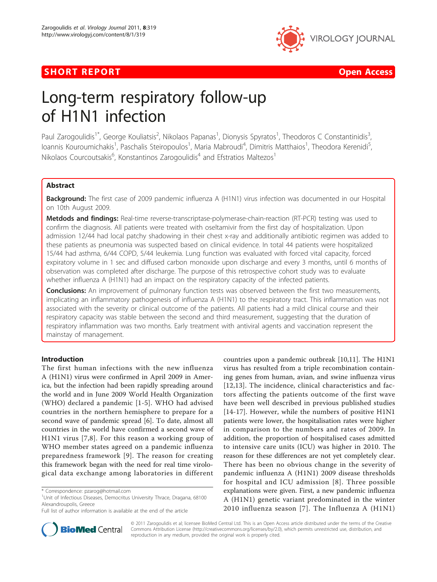



# Long-term respiratory follow-up of H1N1 infection

Paul Zarogoulidis<sup>1\*</sup>, George Kouliatsis<sup>2</sup>, Nikolaos Papanas<sup>1</sup>, Dionysis Spyratos<sup>1</sup>, Theodoros C Constantinidis<sup>3</sup> , Ioannis Kouroumichakis<sup>1</sup>, Paschalis Steiropoulos<sup>1</sup>, Maria Mabroudi<sup>4</sup>, Dimitris Matthaios<sup>1</sup>, Theodora Kerenidi<sup>5</sup> , Nikolaos Courcoutsakis<sup>6</sup>, Konstantinos Zarogoulidis<sup>4</sup> and Efstratios Maltezos<sup>1</sup>

# Abstract

**Background:** The first case of 2009 pandemic influenza A (H1N1) virus infection was documented in our Hospital on 10th August 2009.

Metdods and findings: Real-time reverse-transcriptase-polymerase-chain-reaction (RT-PCR) testing was used to confirm the diagnosis. All patients were treated with oseltamivir from the first day of hospitalization. Upon admission 12/44 had local patchy shadowing in their chest x-ray and additionally antibiotic regimen was added to these patients as pneumonia was suspected based on clinical evidence. In total 44 patients were hospitalized 15/44 had asthma, 6/44 COPD, 5/44 leukemia. Lung function was evaluated with forced vital capacity, forced expiratory volume in 1 sec and diffused carbon monoxide upon discharge and every 3 months, until 6 months of observation was completed after discharge. The purpose of this retrospective cohort study was to evaluate whether influenza A (H1N1) had an impact on the respiratory capacity of the infected patients.

**Conclusions:** An improvement of pulmonary function tests was observed between the first two measurements, implicating an inflammatory pathogenesis of influenza A (H1N1) to the respiratory tract. This inflammation was not associated with the severity or clinical outcome of the patients. All patients had a mild clinical course and their respiratory capacity was stable between the second and third measurement, suggesting that the duration of respiratory inflammation was two months. Early treatment with antiviral agents and vaccination represent the mainstay of management.

# Introduction

The first human infections with the new influenza A (H1N1) virus were confirmed in April 2009 in America, but the infection had been rapidly spreading around the world and in June 2009 World Health Organization (WHO) declared a pandemic [[1](#page-6-0)-[5\]](#page-6-0). WHO had advised countries in the northern hemisphere to prepare for a second wave of pandemic spread [\[6](#page-6-0)]. To date, almost all countries in the world have confirmed a second wave of H1N1 virus [\[7,8](#page-6-0)]. For this reason a working group of WHO member states agreed on a pandemic influenza preparedness framework [[9\]](#page-6-0). The reason for creating this framework began with the need for real time virological data exchange among laboratories in different

Full list of author information is available at the end of the article





© 2011 Zarogoulidis et al; licensee BioMed Central Ltd. This is an Open Access article distributed under the terms of the Creative Commons Attribution License [\(http://creativecommons.org/licenses/by/2.0](http://creativecommons.org/licenses/by/2.0)), which permits unrestricted use, distribution, and reproduction in any medium, provided the original work is properly cited.

<sup>\*</sup> Correspondence: [pzarog@hotmail.com](mailto:pzarog@hotmail.com)

<sup>&</sup>lt;sup>1</sup>Unit of Infectious Diseases, Democritus University Thrace, Dragana, 68100 Alexandroupolis, Greece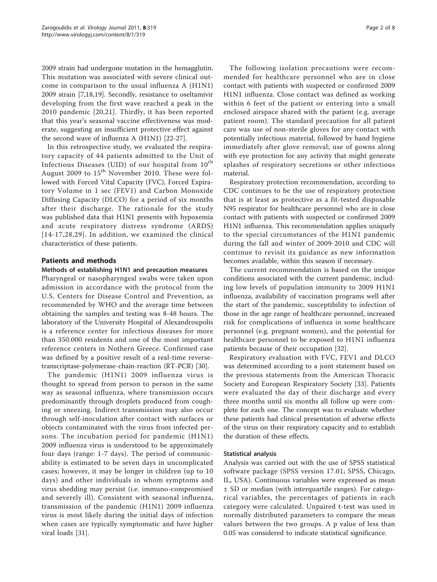2009 strain had undergone mutation in the hemagglutin. This mutation was associated with severe clinical outcome in comparison to the usual influenza A (H1N1) 2009 strain [[7,18,19\]](#page-6-0). Secondly, resistance to oseltamivir developing from the first wave reached a peak in the 2010 pandemic [\[20,21\]](#page-6-0). Thirdly, it has been reported that this year's seasonal vaccine effectiveness was moderate, suggesting an insufficient protective effect against the second wave of influenza A (H1N1) [\[22](#page-6-0)-[27\]](#page-6-0).

In this retrospective study, we evaluated the respiratory capacity of 44 patients admitted to the Unit of Infectious Diseases (UID) of our hospital from  $10^{th}$ August 2009 to  $15<sup>th</sup>$  November 2010. These were followed with Forced Vital Capacity (FVC), Forced Expiratory Volume in 1 sec (FEV1) and Carbon Monoxide Diffusing Capacity (DLCO) for a period of six months after their discharge. The rationale for the study was published data that H1N1 presents with hypoxemia and acute respiratory distress syndrome (ARDS) [[14-17,](#page-6-0)[28,29](#page-7-0)]. In addition, we examined the clinical characteristics of these patients.

# Patients and methods

## Methods of establishing H1N1 and precaution measures

Pharyngeal or nasopharyngeal swabs were taken upon admission in accordance with the protocol from the U.S. Centers for Disease Control and Prevention, as recommended by WHO and the average time between obtaining the samples and testing was 8-48 hours. The laboratory of the University Hospital of Alexandroupolis is a reference center for infectious diseases for more than 350.000 residents and one of the most important reference centers in Nothern Greece. Confirmed case was defined by a positive result of a real-time reversetranscriptase-polymerase-chain-reaction (RT-PCR) [\[30\]](#page-7-0).

The pandemic (H1N1) 2009 influenza virus is thought to spread from person to person in the same way as seasonal influenza, where transmission occurs predominantly through droplets produced from coughing or sneezing. Indirect transmission may also occur through self-inoculation after contact with surfaces or objects contaminated with the virus from infected persons. The incubation period for pandemic (H1N1) 2009 influenza virus is understood to be approximately four days (range: 1-7 days). The period of communicability is estimated to be seven days in uncomplicated cases; however, it may be longer in children (up to 10 days) and other individuals in whom symptoms and virus shedding may persist (i.e. immuno-compromised and severely ill). Consistent with seasonal influenza, transmission of the pandemic (H1N1) 2009 influenza virus is most likely during the initial days of infection when cases are typically symptomatic and have higher viral loads [\[31](#page-7-0)].

The following isolation precautions were recommended for healthcare personnel who are in close contact with patients with suspected or confirmed 2009 H1N1 influenza. Close contact was defined as working within 6 feet of the patient or entering into a small enclosed airspace shared with the patient (e.g. average patient room). The standard precaution for all patient care was use of non-sterile gloves for any contact with potentially infectious material, followed by hand hygiene immediately after glove removal; use of gowns along with eye protection for any activity that might generate splashes of respiratory secretions or other infectious material.

Respiratory protection recommendation, according to CDC continues to be the use of respiratory protection that is at least as protective as a fit-tested disposable N95 respirator for healthcare personnel who are in close contact with patients with suspected or confirmed 2009 H1N1 influenza. This recommendation applies uniquely to the special circumstances of the H1N1 pandemic during the fall and winter of 2009-2010 and CDC will continue to revisit its guidance as new information becomes available, within this season if necessary.

The current recommendation is based on the unique conditions associated with the current pandemic, including low levels of population immunity to 2009 H1N1 influenza, availability of vaccination programs well after the start of the pandemic, susceptibility to infection of those in the age range of healthcare personnel, increased risk for complications of influenza in some healthcare personnel (e.g. pregnant women), and the potential for healthcare personnel to be exposed to H1N1 influenza patients because of their occupation [\[32](#page-7-0)].

Respiratory evaluation with FVC, FEV1 and DLCO was determined according to a joint statement based on the previous statements from the American Thoracic Society and European Respiratory Society [[33\]](#page-7-0). Patients were evaluated the day of their discharge and every three months until six months all follow up were complete for each one. The concept was to evaluate whether these patients had clinical presentation of adverse effects of the virus on their respiratory capacity and to establish the duration of these effects.

## Statistical analysis

Analysis was carried out with the use of SPSS statistical software package (SPSS version 17.01; SPSS, Chicago, IL, USA). Continuous variables were expressed as mean ± SD or median (with interquartile ranges). For categorical variables, the percentages of patients in each category were calculated. Unpaired t-test was used in normally distributed parameters to compare the mean values between the two groups. A p value of less than 0.05 was considered to indicate statistical significance.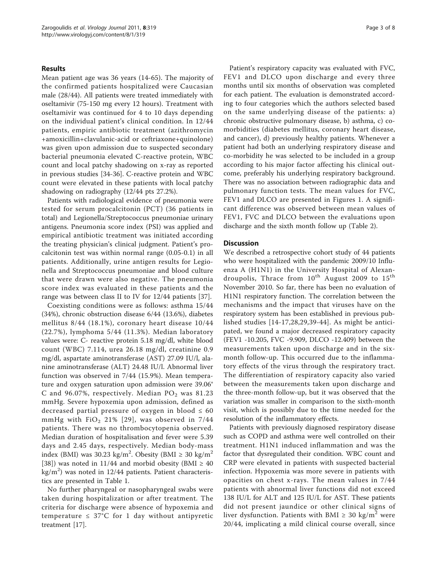## Results

Mean patient age was 36 years (14-65). The majority of the confirmed patients hospitalized were Caucasian male (28/44). All patients were treated immediately with oseltamivir (75-150 mg every 12 hours). Treatment with oseltamivir was continued for 4 to 10 days depending on the individual patient's clinical condition. In 12/44 patients, empiric antibiotic treatment (azithromycin +amoxicillin+clavulanic-acid or ceftriaxone+quinolone) was given upon admission due to suspected secondary bacterial pneumonia elevated C-reactive protein, WBC count and local patchy shadowing on x-ray as reported in previous studies [\[34](#page-7-0)-[36\]](#page-7-0). C-reactive protein and WBC count were elevated in these patients with local patchy shadowing on radiography (12/44 pts 27.2%).

Patients with radiological evidence of pneumonia were tested for serum procalcitonin (PCT) (36 patients in total) and Legionella/Streptococcus pneumoniae urinary antigens. Pneumonia score index (PSI) was applied and empirical antibiotic treatment was initiated according the treating physician's clinical judgment. Patient's procalcitonin test was within normal range (0.05-0.1) in all patients. Additionally, urine antigen results for Legionella and Streptococcus pneumoniae and blood culture that were drawn were also negative. The pneumonia score index was evaluated in these patients and the range was between class II to IV for 12/44 patients [\[37](#page-7-0)].

Coexisting conditions were as follows: asthma 15/44 (34%), chronic obstruction disease 6/44 (13.6%), diabetes mellitus 8/44 (18.1%), coronary heart disease 10/44 (22.7%), lymphoma 5/44 (11.3%). Median laboratory values were: C- reactive protein 5.18 mg/dl, white blood count (WBC) 7.114, urea 26.18 mg/dl, creatinine 0.9 mg/dl, aspartate aminotransferase (AST) 27.09 IU/l, alanine aminotransferase (ALT) 24.48 IU/l. Abnormal liver function was observed in 7/44 (15.9%). Mean temperature and oxygen saturation upon admission were 39.06° C and 96.07%, respectively. Median  $PO<sub>2</sub>$  was 81.23 mmHg. Severe hypoxemia upon admission, defined as decreased partial pressure of oxygen in blood  $\leq 60$ mmHg with  $FiO<sub>2</sub>$  21% [[29\]](#page-7-0), was observed in 7/44 patients. There was no thrombocytopenia observed. Median duration of hospitalisation and fever were 5.39 days and 2.45 days, respectively. Median body-mass index (BMI) was 30.23 kg/m<sup>2</sup>. Obesity (BMI  $\geq 30$  kg/m<sup>2</sup> [[38\]](#page-7-0)) was noted in 11/44 and morbid obesity (BMI  $\geq$  40  $\text{kg/m}^2$ ) was noted in 12/44 patients. Patient characteristics are presented in Table [1](#page-3-0).

No further pharyngeal or nasopharyngeal swabs were taken during hospitalization or after treatment. The criteria for discharge were absence of hypoxemia and temperature  $\leq 37^{\circ}$ C for 1 day without antipyretic treatment [[17\]](#page-6-0).

Patient's respiratory capacity was evaluated with FVC, FEV1 and DLCO upon discharge and every three months until six months of observation was completed for each patient. The evaluation is demonstrated according to four categories which the authors selected based on the same underlying disease of the patients: a) chronic obstructive pulmonary disease, b) asthma, c) comorbidities (diabetes mellitus, coronary heart disease, and cancer), d) previously healthy patients. Whenever a patient had both an underlying respiratory disease and co-morbidity he was selected to be included in a group according to his major factor affecting his clinical outcome, preferably his underlying respiratory background. There was no association between radiographic data and pulmonary function tests. The mean values for FVC, FEV1 and DLCO are presented in Figures [1](#page-4-0). A significant difference was observed between mean values of FEV1, FVC and DLCO between the evaluations upon discharge and the sixth month follow up (Table [2\)](#page-5-0).

## **Discussion**

We described a retrospective cohort study of 44 patients who were hospitalized with the pandemic 2009/10 Influenza A (H1N1) in the University Hospital of Alexandroupolis, Thrace from  $10^{th}$  August 2009 to  $15^{th}$ November 2010. So far, there has been no evaluation of H1N1 respiratory function. The correlation between the mechanisms and the impact that viruses have on the respiratory system has been established in previous published studies [[14-17](#page-6-0)[,28](#page-7-0),[29,39-44\]](#page-7-0). As might be anticipated, we found a major decreased respiratory capacity (FEV1 -10.205, FVC -9.909, DLCO -12.409) between the measurements taken upon discharge and in the sixmonth follow-up. This occurred due to the inflammatory effects of the virus through the respiratory tract. The differentiation of respiratory capacity also varied between the measurements taken upon discharge and the three-month follow-up, but it was observed that the variation was smaller in comparison to the sixth-month visit, which is possibly due to the time needed for the resolution of the inflammatory effects.

Patients with previously diagnosed respiratory disease such as COPD and asthma were well controlled on their treatment. H1N1 induced inflammation and was the factor that dysregulated their condition. WBC count and CRP were elevated in patients with suspected bacterial infection. Hypoxemia was more severe in patients with opacities on chest x-rays. The mean values in 7/44 patients with abnormal liver functions did not exceed 138 IU/L for ALT and 125 IU/L for AST. These patients did not present jaundice or other clinical signs of liver dysfunction. Patients with BMI  $\geq$  30 kg/m<sup>2</sup> were 20/44, implicating a mild clinical course overall, since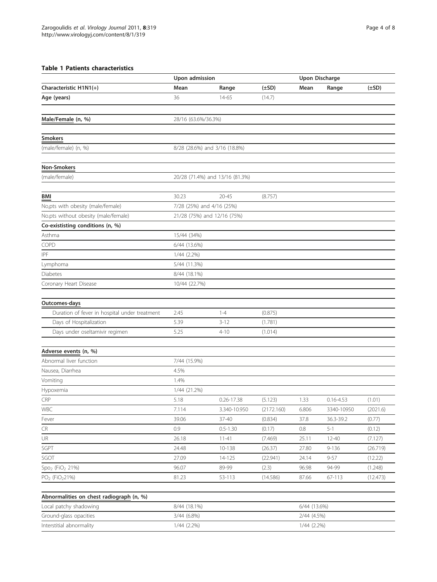# <span id="page-3-0"></span>Table 1 Patients characteristics

|                                               | Upon admission              |                                 |            |              | <b>Upon Discharge</b> |            |
|-----------------------------------------------|-----------------------------|---------------------------------|------------|--------------|-----------------------|------------|
| Characteristic H1N1(+)                        | Mean                        | Range                           | $(\pm SD)$ | Mean         | Range                 | $(\pm SD)$ |
| Age (years)                                   | 36                          | 14-65                           | (14.7)     |              |                       |            |
|                                               |                             |                                 |            |              |                       |            |
| Male/Female (n, %)                            | 28/16 (63.6%/36.3%)         |                                 |            |              |                       |            |
|                                               |                             |                                 |            |              |                       |            |
| Smokers                                       |                             |                                 |            |              |                       |            |
| (male/female) (n, %)                          |                             | 8/28 (28.6%) and 3/16 (18.8%)   |            |              |                       |            |
|                                               |                             |                                 |            |              |                       |            |
| <b>Non-Smokers</b>                            |                             |                                 |            |              |                       |            |
| (male/female)                                 |                             | 20/28 (71.4%) and 13/16 (81.3%) |            |              |                       |            |
|                                               |                             |                                 |            |              |                       |            |
| BMI                                           | 30.23                       | $20 - 45$                       | (8.757)    |              |                       |            |
| No,pts with obesity (male/female)             | 7/28 (25%) and 4/16 (25%)   |                                 |            |              |                       |            |
| No.pts without obesity (male/female)          | 21/28 (75%) and 12/16 (75%) |                                 |            |              |                       |            |
| Co-exististing conditions (n, %)              |                             |                                 |            |              |                       |            |
| Asthma                                        | 15/44 (34%)                 |                                 |            |              |                       |            |
| COPD                                          | 6/44 (13.6%)                |                                 |            |              |                       |            |
| IPF                                           | $1/44$ $(2.2\%)$            |                                 |            |              |                       |            |
| Lymphoma                                      | 5/44 (11.3%)                |                                 |            |              |                       |            |
| <b>Diabetes</b>                               | 8/44 (18.1%)                |                                 |            |              |                       |            |
| Coronary Heart Disease                        | 10/44 (22.7%)               |                                 |            |              |                       |            |
|                                               |                             |                                 |            |              |                       |            |
| Outcomes-days                                 |                             |                                 |            |              |                       |            |
| Duration of fever in hospital under treatment | 2.45                        | $1 - 4$                         | (0.875)    |              |                       |            |
| Days of Hospitalization                       | 5.39                        | $3 - 12$                        | (1.781)    |              |                       |            |
| Days under oseltamivir regimen                | 5.25                        | $4 - 10$                        | (1.014)    |              |                       |            |
|                                               |                             |                                 |            |              |                       |            |
| Adverse events (n, %)                         |                             |                                 |            |              |                       |            |
| Abnormal liver function                       | 7/44 (15.9%)                |                                 |            |              |                       |            |
| Nausea, Diarrhea                              | 4.5%                        |                                 |            |              |                       |            |
| Vomiting                                      | 1.4%                        |                                 |            |              |                       |            |
| Hypoxemia                                     | 1/44 (21.2%)                |                                 |            |              |                       |            |
| CRP                                           | 5.18                        | $0.26 - 17.38$                  | (5.123)    | 1.33         | $0.16 - 4.53$         | (1.01)     |
| WBC                                           | 7.114                       | 3.340-10.950                    | (2172.160) | 6.806        | 3340-10950            | (2021.6)   |
| Fever                                         | 39.06                       | 37-40                           | (0.834)    | 37.8         | 36.3-39.2             | (0.77)     |
| ${\sf CR}$                                    | 0.9                         | $0.5 - 1.30$                    | (0.17)     | $0.8\,$      | $5 - 1$               | (0.12)     |
| UR                                            | 26.18                       | $11 - 41$                       | (7.469)    | 25.11        | $12 - 40$             | (7.127)    |
| SGPT                                          | 24.48                       | 10-138                          | (26.37)    | 27.80        | $9 - 136$             | (26.719)   |
| SGOT                                          | 27.09                       | 14-125                          | (22.941)   | 24.14        | $9 - 57$              | (12.22)    |
| $Spo2$ (FiO <sub>2</sub> 21%)                 | 96.07                       | 89-99                           | (2.3)      | 96.98        | 94-99                 | (1.248)    |
| PO <sub>2</sub> (FiO <sub>2</sub> 21%)        | 81.23                       | 53-113                          | (14.586)   | 87.66        | 67-113                | (12.473)   |
|                                               |                             |                                 |            |              |                       |            |
| Abnormalities on chest radiograph (n, %)      |                             |                                 |            |              |                       |            |
| Local patchy shadowing                        | 8/44 (18.1%)                |                                 |            | 6/44 (13.6%) |                       |            |
| Ground-glass opacities                        | 3/44 (6.8%)                 |                                 |            | 2/44 (4.5%)  |                       |            |
| Interstitial abnormality                      | 1/44 (2.2%)                 |                                 |            | 1/44 (2.2%)  |                       |            |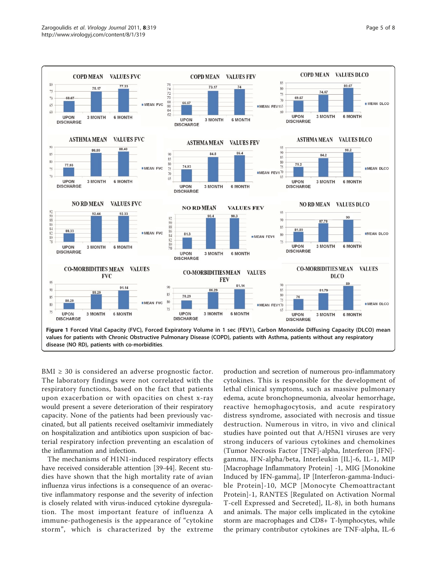<span id="page-4-0"></span>

BMI  $\geq$  30 is considered an adverse prognostic factor. The laboratory findings were not correlated with the respiratory functions, based on the fact that patients upon exacerbation or with opacities on chest x-ray would present a severe deterioration of their respiratory capacity. None of the patients had been previously vaccinated, but all patients received oseltamivir immediately on hospitalization and antibiotics upon suspicion of bacterial respiratory infection preventing an escalation of the inflammation and infection.

The mechanisms of H1N1-induced respiratory effects have received considerable attention [\[39-44](#page-7-0)]. Recent studies have shown that the high mortality rate of avian influenza virus infections is a consequence of an overactive inflammatory response and the severity of infection is closely related with virus-induced cytokine dysregulation. The most important feature of influenza A immune-pathogenesis is the appearance of "cytokine storm", which is characterized by the extreme

production and secretion of numerous pro-inflammatory cytokines. This is responsible for the development of lethal clinical symptoms, such as massive pulmonary edema, acute bronchopneumonia, alveolar hemorrhage, reactive hemophagocytosis, and acute respiratory distress syndrome, associated with necrosis and tissue destruction. Numerous in vitro, in vivo and clinical studies have pointed out that A/H5N1 viruses are very strong inducers of various cytokines and chemokines (Tumor Necrosis Factor [TNF]-alpha, Interferon [IFN] gamma, IFN-alpha/beta, Interleukin [IL]-6, IL-1, MIP [Macrophage Inflammatory Protein] -1, MIG [Monokine Induced by IFN-gamma], IP [Interferon-gamma-Inducible Protein]-10, MCP [Monocyte Chemoattractant Protein]-1, RANTES [Regulated on Activation Normal T-cell Expressed and Secreted], IL-8), in both humans and animals. The major cells implicated in the cytokine storm are macrophages and CD8+ T-lymphocytes, while the primary contributor cytokines are TNF-alpha, IL-6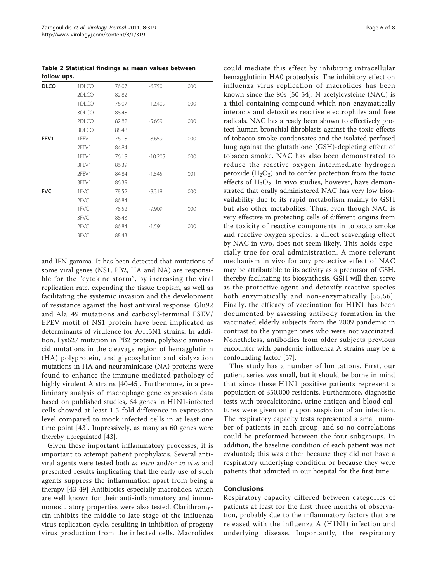<span id="page-5-0"></span>Table 2 Statistical findings as mean values between follow ups.

| <b>DLCO</b>      | 1DLCO | 76.07 | $-6.750$  | .000 |
|------------------|-------|-------|-----------|------|
|                  | 2DLCO | 82.82 |           |      |
|                  | 1DLCO | 76.07 | $-12.409$ | .000 |
|                  | 3DLCO | 88.48 |           |      |
|                  | 2DLCO | 82.82 | $-5.659$  | .000 |
|                  | 3DLCO | 88.48 |           |      |
| FEV <sub>1</sub> | 1FEV1 | 76.18 | $-8.659$  | .000 |
|                  | 2FEV1 | 84.84 |           |      |
|                  | 1FEV1 | 76.18 | $-10.205$ | .000 |
|                  | 3FEV1 | 86.39 |           |      |
|                  | 2FEV1 | 84.84 | $-1.545$  | .001 |
|                  | 3FEV1 | 86.39 |           |      |
| <b>FVC</b>       | 1FVC  | 78.52 | $-8.318$  | .000 |
|                  | 2FVC  | 86.84 |           |      |
|                  | 1FVC  | 78.52 | $-9.909$  | .000 |
|                  | 3FVC  | 88.43 |           |      |
|                  | 2FVC  | 86.84 | $-1.591$  | .000 |
|                  | 3FVC  | 88.43 |           |      |

and IFN-gamma. It has been detected that mutations of some viral genes (NS1, PB2, HA and NA) are responsible for the "cytokine storm", by increasing the viral replication rate, expending the tissue tropism, as well as facilitating the systemic invasion and the development of resistance against the host antiviral response. Glu92 and Ala149 mutations and carboxyl-terminal ESEV/ EPEV motif of NS1 protein have been implicated as determinants of virulence for A/H5N1 strains. In addition, Lys627 mutation in PB2 protein, polybasic aminoacid mutations in the cleavage region of hemagglutinin (HA) polyprotein, and glycosylation and sialyzation mutations in HA and neuraminidase (NA) proteins were found to enhance the immune-mediated pathology of highly virulent A strains [\[40](#page-7-0)-[45\]](#page-7-0). Furthermore, in a preliminary analysis of macrophage gene expression data based on published studies, 64 genes in H1N1-infected cells showed at least 1.5-fold difference in expression level compared to mock infected cells in at least one time point [[43\]](#page-7-0). Impressively, as many as 60 genes were thereby upregulated [[43](#page-7-0)].

Given these important inflammatory processes, it is important to attempt patient prophylaxis. Several antiviral agents were tested both in vitro and/or in vivo and presented results implicating that the early use of such agents suppress the inflammation apart from being a therapy [\[43](#page-7-0)-[49\]](#page-7-0) Antibiotics especially macrolides, which are well known for their anti-inflammatory and immunomodulatory properties were also tested. Clarithromycin inhibits the middle to late stage of the influenza virus replication cycle, resulting in inhibition of progeny virus production from the infected cells. Macrolides could mediate this effect by inhibiting intracellular hemagglutinin HA0 proteolysis. The inhibitory effect on influenza virus replication of macrolides has been known since the 80s [\[50](#page-7-0)-[54\]](#page-7-0). N-acetylcysteine (NAC) is a thiol-containing compound which non-enzymatically interacts and detoxifies reactive electrophiles and free radicals. NAC has already been shown to effectively protect human bronchial fibroblasts against the toxic effects of tobacco smoke condensates and the isolated perfused lung against the glutathione (GSH)-depleting effect of tobacco smoke. NAC has also been demonstrated to reduce the reactive oxygen intermediate hydrogen peroxide  $(H_2O_2)$  and to confer protection from the toxic effects of  $H_2O_2$ . In vivo studies, however, have demonstrated that orally administered NAC has very low bioavailability due to its rapid metabolism mainly to GSH but also other metabolites. Thus, even though NAC is very effective in protecting cells of different origins from the toxicity of reactive components in tobacco smoke and reactive oxygen species, a direct scavenging effect by NAC in vivo, does not seem likely. This holds especially true for oral administration. A more relevant mechanism in vivo for any protective effect of NAC may be attributable to its activity as a precursor of GSH, thereby facilitating its biosynthesis. GSH will then serve as the protective agent and detoxify reactive species both enzymatically and non-enzymatically [[55](#page-7-0),[56\]](#page-7-0). Finally, the efficacy of vaccination for H1N1 has been documented by assessing antibody formation in the vaccinated elderly subjects from the 2009 pandemic in contrast to the younger ones who were not vaccinated. Nonetheless, antibodies from older subjects previous encounter with pandemic influenza A strains may be a confounding factor [\[57\]](#page-7-0).

This study has a number of limitations. First, our patient series was small, but it should be borne in mind that since these H1N1 positive patients represent a population of 350.000 residents. Furthermore, diagnostic tests with procalcitonine, urine antigen and blood cultures were given only upon suspicion of an infection. The respiratory capacity tests represented a small number of patients in each group, and so no correlations could be preformed between the four subgroups. In addition, the baseline condition of each patient was not evaluated; this was either because they did not have a respiratory underlying condition or because they were patients that admitted in our hospital for the first time.

# Conclusions

Respiratory capacity differed between categories of patients at least for the first three months of observation, probably due to the inflammatory factors that are released with the influenza A (H1N1) infection and underlying disease. Importantly, the respiratory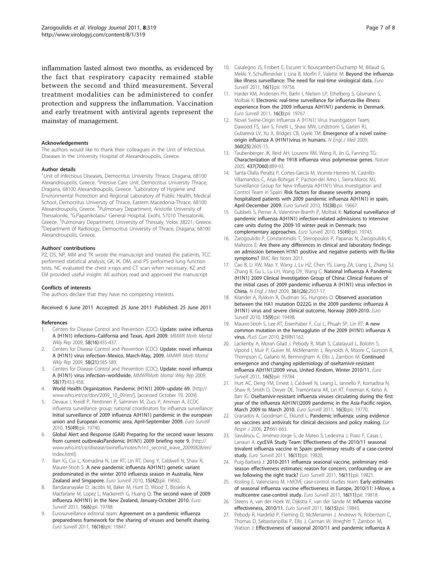<span id="page-6-0"></span>inflammation lasted almost two months, as evidenced by the fact that respiratory capacity remained stable between the second and third measurement. Several treatment modalities can be administered to confer protection and suppress the inflammation. Vaccination and early treatment with antiviral agents represent the mainstay of management.

### Acknowledgements

The authors would like to thank their colleagues in the Unit of Infectious Diseases in the University Hospital of Alexandroupolis, Greece.

#### Author details

<sup>1</sup>Unit of Infectious Diseases, Democritus University Thrace, Dragana, 68100 Alexandroupolis, Greece. <sup>2</sup>Intesive Care Unit, Democritus University Thrace, Dragana, 68100 Alexandroupolis, Greece. <sup>3</sup>Laboratory of Hygiene and Environmental Protection and Regional Laboratory of Public Health, Medical School, Democritus University of Thrace, Eastern Macedonia-Thrace, 68100 Alexandroupolis, Greece. <sup>4</sup>Pulmonary Department, Aristotle University of Thessaloniki, "G.Papanikolaou" General Hospital, Exohi, 57010 Thessaloniki, Greece. <sup>5</sup>Pulmonary Department, University of Thessaly, Volos 38221, Greece.<br><sup>6</sup>Department of Badiology, Democritus University of Thrace, Dragana, 68100. Department of Radiology, Democritus University of Thrace, Dragana, 68100 Alexandroupolis, Greece.

#### Authors' contributions

PZ, DS, NP, MM and TK wrote the manuscript and treated the patients, TCC performed statistical analysis, GK, IK, DM, and PS performed lung function tests, NC evaluated the chest x-rays and CT scan when necessary, KZ and EM provided useful insight. All authors read and approved the manuscript

#### Conflicts of interests

The authors declare that they have no competing interests.

#### Received: 6 June 2011 Accepted: 25 June 2011 Published: 25 June 2011

#### References

- Centers for Disease Control and Prevention (CDC): [Update: swine influenza](http://www.ncbi.nlm.nih.gov/pubmed/19407739?dopt=Abstract) A (H1N1) infections–[California and Texas, April 2009.](http://www.ncbi.nlm.nih.gov/pubmed/19407739?dopt=Abstract) MMWR Morb Mortal Wkly Rep 2009, 58(16):435-437.
- 2. Centers for Disease Control and Prevention (CDC): [Update: novel influenza](http://www.ncbi.nlm.nih.gov/pubmed/19498336?dopt=Abstract) A (H1N1) virus infection–[Mexico, March-May, 2009.](http://www.ncbi.nlm.nih.gov/pubmed/19498336?dopt=Abstract) MMWR Morb Mortal Wkly Rep 2009, 58(21):585-589.
- 3. Centers for Disease Control and Prevention (CDC): Update: novel influenza A (H1N1) virus infection–worldwide. MMWRMorb Mortal Wkly Rep 2009, 58(17):453-458.
- 4. World Health Organization. Pandemic (H1N1) 2009–update 69. [\[http://](http://www.who.int/csr/don/2009_10_09/en/) [www.who.int/csr/don/2009\\_10\\_09/en/](http://www.who.int/csr/don/2009_10_09/en/)], [accessed October 19, 2009].
- 5. Devaux I, Kreidl P, Penttinen P, Salminen M, Zucs P, Ammon A, ECDC influenza surveillance group; national coordinators for influenza surveillance: [Initial surveillance of 2009 influenza A\(H1N1\) pandemic in the european](http://www.ncbi.nlm.nih.gov/pubmed/21163182?dopt=Abstract) [union and European economic area, April-September 2009.](http://www.ncbi.nlm.nih.gov/pubmed/21163182?dopt=Abstract) Euro Surveill 2010, 15(49):pii: 19740.
- 6. Global Alert and Response (GAR) Preparing for the second wave: lessons from current outbreaksPandemic (H1N1) 2009 briefing note 9. [\[http://](http://www.who.int/csr/disease/swineflu/notes/h1n1_second_wave_20090828/en/index.html) [www.who.int/csr/disease/swineflu/notes/h1n1\\_second\\_wave\\_20090828/en/](http://www.who.int/csr/disease/swineflu/notes/h1n1_second_wave_20090828/en/index.html) [index.html](http://www.who.int/csr/disease/swineflu/notes/h1n1_second_wave_20090828/en/index.html)].
- 7. Barr IG, Cui L, Komadina N, Lee RT, Lin RT, Deng Y, Caldwell N, Shaw R, Maurer-Stroh S: [A new pandemic influenza A\(H1N1\) genetic variant](http://www.ncbi.nlm.nih.gov/pubmed/21034722?dopt=Abstract) [predominated in the winter 2010 influenza season in Australia, New](http://www.ncbi.nlm.nih.gov/pubmed/21034722?dopt=Abstract) [Zealand and Singapore.](http://www.ncbi.nlm.nih.gov/pubmed/21034722?dopt=Abstract) Euro Surveill 2010, 15(42):pii: 19692.
- 8. Bandaranayake D, Jacobs M, Baker M, Hunt D, Wood T, Bissielo A, Macfarlane M, Lopez L, Mackereth G, Huang Q: [The second wave of 2009](http://www.ncbi.nlm.nih.gov/pubmed/21329643?dopt=Abstract) [influenza A\(H1N1\) in the New Zealand, January-October 2010.](http://www.ncbi.nlm.nih.gov/pubmed/21329643?dopt=Abstract) Euro Surveill 2011, 16(6):pii: 19788.
- 9. Eurosurveillance editorial team: [Agreement on a pandemic influenza](http://www.ncbi.nlm.nih.gov/pubmed/21527130?dopt=Abstract) [preparedness framework for the sharing of viruses and benefit sharing.](http://www.ncbi.nlm.nih.gov/pubmed/21527130?dopt=Abstract) Euro Surveill 2011, 16(16):pii: 19847.
- 10. Casalegno JS, Frobert E, Escuret V, Bouscambert-Duchamp M, Billaud G, Mekki Y, Schuffenecker I, Lina B, Morfin F, Valette M: [Beyond the influenza](http://www.ncbi.nlm.nih.gov/pubmed/21223833?dopt=Abstract)[like illness surveillance: The need for real-time virological data.](http://www.ncbi.nlm.nih.gov/pubmed/21223833?dopt=Abstract) Euro Surveill 2011, 16(1):pii: 19756.
- 11. Harder KM, Andersen PH, Bæhr I, Nielsen LP, Ethelberg S, Glismann S, Molbak K: [Electronic real-time surveillance for influenza-like illness:](http://www.ncbi.nlm.nih.gov/pubmed/21262186?dopt=Abstract) [experience from the 2009 influenza A\(H1N1\) pandemic in Denmark.](http://www.ncbi.nlm.nih.gov/pubmed/21262186?dopt=Abstract) Euro Surveill 2011, 16(3):pii: 19767.
- 12. Novel Swine-Origin Influenza A (H1N1) Virus Investigation Team, Dawood FS, Jain S, Finelli L, Shaw MW, Lindstrom S, Garten RJ, Gubareva LV, Xu X, Bridges CB, Uyeki TM: [Emergence of a novel swine](http://www.ncbi.nlm.nih.gov/pubmed/19423869?dopt=Abstract)[origin influenza A \(H1N1\)virus in humans.](http://www.ncbi.nlm.nih.gov/pubmed/19423869?dopt=Abstract) N Engl J Med 2009, 360(25):2605-15.
- 13. Taubenberger JK, Reid AH, Lourens RM, Wang R, Jin G, Fanning TG: [Characterization of the 1918 influenza virus polymerase genes.](http://www.ncbi.nlm.nih.gov/pubmed/16208372?dopt=Abstract) Nature 2005, 437(7060):889-93.
- 14. Santa-Olalla Peralta P, Cortes-García M, Vicente-Herrero M, Castrillo-Villamandos C, Arias-Bohigas P, Pachon-del Amo I, Sierra-Moros MJ, Surveillance Group for New Influenza A(H1N1) Virus Investigation and Control Team in Spain: [Risk factors for disease severity among](http://www.ncbi.nlm.nih.gov/pubmed/20929651?dopt=Abstract) [hospitalized patients with 2009 pandemic influenza A\(H1N1\) in spain,](http://www.ncbi.nlm.nih.gov/pubmed/20929651?dopt=Abstract) [April-December 2009.](http://www.ncbi.nlm.nih.gov/pubmed/20929651?dopt=Abstract) Euro Surveill 2010, 15(38):pii: 19667.
- 15. Gubbels S, Perner A, Valentiner-Branth P, Molbak K: [National surveillance of](http://www.ncbi.nlm.nih.gov/pubmed/21163180?dopt=Abstract) [pandemic influenza A\(H1N1\) infection-related admissions to intensive](http://www.ncbi.nlm.nih.gov/pubmed/21163180?dopt=Abstract) [care units during the 2009-10 winter peak in Denmark: two](http://www.ncbi.nlm.nih.gov/pubmed/21163180?dopt=Abstract) [complementary approaches.](http://www.ncbi.nlm.nih.gov/pubmed/21163180?dopt=Abstract) Euro Surveill 2010, 15(49):pii: 19743.
- 16. Zarogoulidis P, Constantinidis T, Steiropoulos P, Papanas N, Zarogoulidis K, Maltezos E: Are there any differences in clinical and laboratory findings on admission between H1N1 positive and negative patients with flu-like symptoms? BMC Res Notes 2011.
- 17. Cao B, Li XW, Mao Y, Wang J, Lu HZ, Chen YS, Liang ZA, Liang L, Zhang SJ, Zhang B, Gu L, Lu LH, Wang DY, Wang C: [National Influenza A Pandemic](http://www.ncbi.nlm.nih.gov/pubmed/20007555?dopt=Abstract) [\(H1N1\) 2009 Clinical Investigation Group of China: Clinical features of](http://www.ncbi.nlm.nih.gov/pubmed/20007555?dopt=Abstract) [the initial cases of 2009 pandemic influenza A \(H1N1\) virus infection in](http://www.ncbi.nlm.nih.gov/pubmed/20007555?dopt=Abstract) [China.](http://www.ncbi.nlm.nih.gov/pubmed/20007555?dopt=Abstract) N Engl J Med 2009, 361(26):2507-17.
- 18. Kilander A, Rykkvin R, Dudman SG, Hungnes O: [Observed association](http://www.ncbi.nlm.nih.gov/pubmed/20214869?dopt=Abstract) [between the HA1 mutation D222G in the 2009 pandemic influenza A](http://www.ncbi.nlm.nih.gov/pubmed/20214869?dopt=Abstract) [\(H1N1\) virus and severe clinical outcome, Norway 2009-2010.](http://www.ncbi.nlm.nih.gov/pubmed/20214869?dopt=Abstract) Euro Surveill 2010, 15(9):pii: 19498.
- 19. Maurer-Stroh S, Lee RT, Eisenhaber F, Cui L, Phuah SP, Lin RT: [A new](http://www.ncbi.nlm.nih.gov/pubmed/20535229?dopt=Abstract) [common mutation in the hemagglutin of the 2009 \(H1N1\) influenza A](http://www.ncbi.nlm.nih.gov/pubmed/20535229?dopt=Abstract) [virus.](http://www.ncbi.nlm.nih.gov/pubmed/20535229?dopt=Abstract) PLoS Curr 2010, 2:RRN1162.
- 20. Lackenby A, Moran Gilad J, Pebody R, Miah S, Calatayud L, Bolotin S, Vipond I, Muir P, Guiver M, McMenamin J, Reynolds A, Moore C, Gunson R, Thompson C, Galiano M, Bermingham A, Ellis J, Zambon M: [Continued](http://www.ncbi.nlm.nih.gov/pubmed/21315056?dopt=Abstract) [emergence and changing epidemiology of oseltamivir-resistant](http://www.ncbi.nlm.nih.gov/pubmed/21315056?dopt=Abstract) [influenza A\(H1N1\)2009 virus, United Kindom, Winter 2010/11.](http://www.ncbi.nlm.nih.gov/pubmed/21315056?dopt=Abstract) Euro Surveill 2011, 16(5):pii: 19784.
- 21. Hurt AC, Deng YM, Ernest J, Caldwell N, Leang L, Iannello P, Komadina N, Shaw R, Smith D, Dwyer DE, Tramontana AR, Lin RT, Freeman K, Kelso A, Barr IG: [Oseltamivir-resistant influenza viruses circulating during the first](http://www.ncbi.nlm.nih.gov/pubmed/21262183?dopt=Abstract) [year of the influenza A\(H1N1\)2009 pandemic in the Asia-Pacific region,](http://www.ncbi.nlm.nih.gov/pubmed/21262183?dopt=Abstract) [March 2009 to March 2010.](http://www.ncbi.nlm.nih.gov/pubmed/21262183?dopt=Abstract) Euro Surveill 2011, 16(3):pii: 19770.
- 22. Granados A, Goodman C, Eklund L: [Pandemic influenza: using evidence](http://www.ncbi.nlm.nih.gov/pubmed/16585070?dopt=Abstract) [on vaccines and antivirals for clinical decisions and policy making.](http://www.ncbi.nlm.nih.gov/pubmed/16585070?dopt=Abstract) Eur Respir J 2006, 27:661-663.
- 23. Savulescu C, Jiménez-Jorge S, de Mateo S, Ledesma J, Pozo F, Casas I, Larrauri A: [cycEVA Study Team: Effectiveness of the 2010/11 seasonal](http://www.ncbi.nlm.nih.gov/pubmed/21435330?dopt=Abstract) [trivalent influenza vaccine in Spain: preliminary results of a case-control](http://www.ncbi.nlm.nih.gov/pubmed/21435330?dopt=Abstract) [study.](http://www.ncbi.nlm.nih.gov/pubmed/21435330?dopt=Abstract) Euro Surveill 2011, 16(11):pii: 19820.
- 24. Puig-Barberà J: [2010-2011 influenza seasonal vaccine, preliminary mid](http://www.ncbi.nlm.nih.gov/pubmed/21435331?dopt=Abstract)[season effectiveness estimates: reason for concern, confounding or are](http://www.ncbi.nlm.nih.gov/pubmed/21435331?dopt=Abstract) [we following the right track?](http://www.ncbi.nlm.nih.gov/pubmed/21435331?dopt=Abstract) Euro Surveill 2011, 16(11):pii: 19821.
- 25. Kissling E, Valenciano M, I-MOVE case-control studies team: [Early estimates](http://www.ncbi.nlm.nih.gov/pubmed/21435329?dopt=Abstract) [of seasonal influenza vaccine effectiveness in Europe, 2010/11: I-Move, a](http://www.ncbi.nlm.nih.gov/pubmed/21435329?dopt=Abstract) [multicentre case-control study.](http://www.ncbi.nlm.nih.gov/pubmed/21435329?dopt=Abstract) Euro Surveill 2011, 16(11):pii: 19818.
- 26. Steens A, van der Hoek W, Dijkstra F, van der Sande M: [Influenza vaccine](http://www.ncbi.nlm.nih.gov/pubmed/21507318?dopt=Abstract) [effectiveness, 2010/11.](http://www.ncbi.nlm.nih.gov/pubmed/21507318?dopt=Abstract) Euro Surveill 2011, 16(15):pii: 19843.
- 27. Pebody R, Hardelid P, Fleming D, McMenamin J, Andrews N, Robertson C, Thomas D, Sebastianpillai P, Ellis J, Carman W, Wreghitt T, Zambon M, Watson J: [Effectiveness of seasonal 2010/11 and pandemic influenza A](http://www.ncbi.nlm.nih.gov/pubmed/21329644?dopt=Abstract)